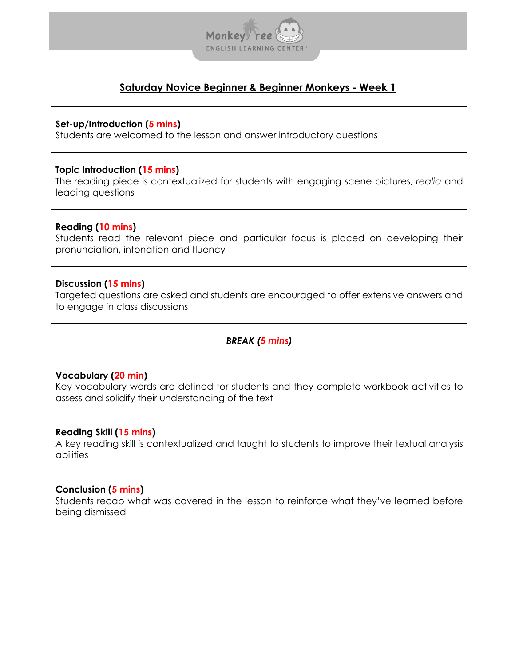

# **Set-up/Introduction (5 mins)**

Students are welcomed to the lesson and answer introductory questions

# **Topic Introduction (15 mins)**

The reading piece is contextualized for students with engaging scene pictures, *realia* and leading questions

# **Reading (10 mins)**

Students read the relevant piece and particular focus is placed on developing their pronunciation, intonation and fluency

# **Discussion (15 mins)**

Targeted questions are asked and students are encouraged to offer extensive answers and to engage in class discussions

# *BREAK (5 mins)*

### **Vocabulary (20 min)**

Key vocabulary words are defined for students and they complete workbook activities to assess and solidify their understanding of the text

### **Reading Skill (15 mins)**

A key reading skill is contextualized and taught to students to improve their textual analysis abilities

### **Conclusion (5 mins)**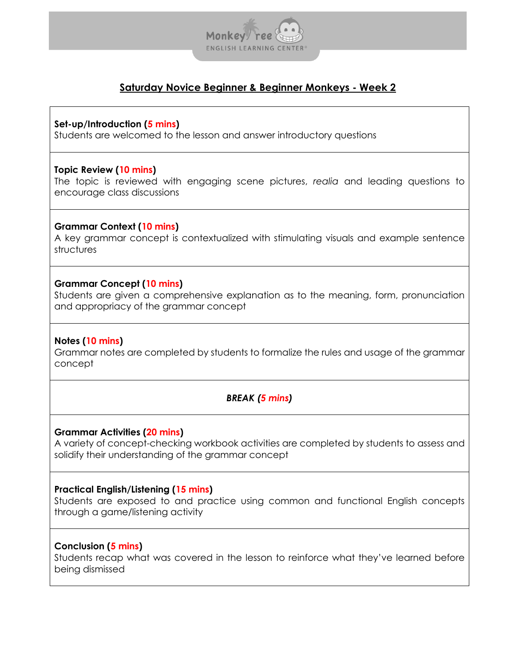

### **Set-up/Introduction (5 mins)**

Students are welcomed to the lesson and answer introductory questions

### **Topic Review (10 mins)**

The topic is reviewed with engaging scene pictures, *realia* and leading questions to encourage class discussions

### **Grammar Context (10 mins)**

A key grammar concept is contextualized with stimulating visuals and example sentence structures

### **Grammar Concept (10 mins)**

Students are given a comprehensive explanation as to the meaning, form, pronunciation and appropriacy of the grammar concept

### **Notes (10 mins)**

Grammar notes are completed by students to formalize the rules and usage of the grammar concept

### *BREAK (5 mins)*

#### **Grammar Activities (20 mins)**

A variety of concept-checking workbook activities are completed by students to assess and solidify their understanding of the grammar concept

#### **Practical English/Listening (15 mins)**

Students are exposed to and practice using common and functional English concepts through a game/listening activity

### **Conclusion (5 mins)**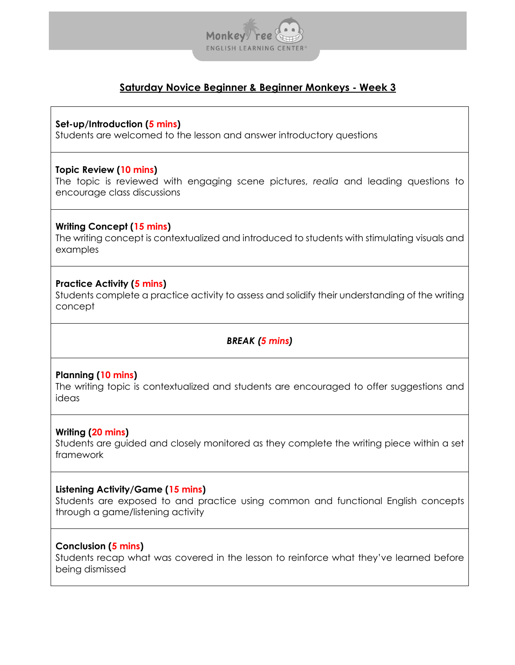

**Set-up/Introduction (5 mins)**

Students are welcomed to the lesson and answer introductory questions

## **Topic Review (10 mins)**

The topic is reviewed with engaging scene pictures, *realia* and leading questions to encourage class discussions

# **Writing Concept (15 mins)**

The writing concept is contextualized and introduced to students with stimulating visuals and examples

# **Practice Activity (5 mins)**

Students complete a practice activity to assess and solidify their understanding of the writing concept

# *BREAK (5 mins)*

# **Planning (10 mins)**

The writing topic is contextualized and students are encouraged to offer suggestions and ideas

### **Writing (20 mins)**

Students are guided and closely monitored as they complete the writing piece within a set framework

### **Listening Activity/Game (15 mins)**

Students are exposed to and practice using common and functional English concepts through a game/listening activity

### **Conclusion (5 mins)**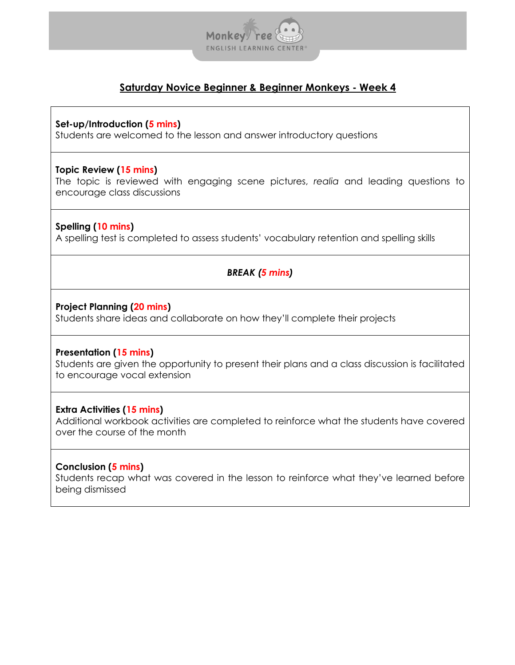

**Set-up/Introduction (5 mins)**

Students are welcomed to the lesson and answer introductory questions

## **Topic Review (15 mins)**

The topic is reviewed with engaging scene pictures, *realia* and leading questions to encourage class discussions

# **Spelling (10 mins)**

A spelling test is completed to assess students' vocabulary retention and spelling skills

# *BREAK (5 mins)*

### **Project Planning (20 mins)**

Students share ideas and collaborate on how they'll complete their projects

# **Presentation (15 mins)**

Students are given the opportunity to present their plans and a class discussion is facilitated to encourage vocal extension

# **Extra Activities (15 mins)**

Additional workbook activities are completed to reinforce what the students have covered over the course of the month

# **Conclusion (5 mins)**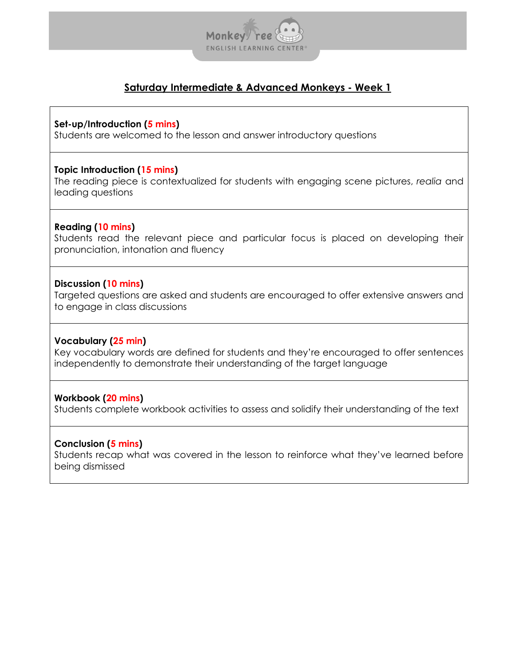

# **Set-up/Introduction (5 mins)**

Students are welcomed to the lesson and answer introductory questions

# **Topic Introduction (15 mins)**

The reading piece is contextualized for students with engaging scene pictures, *realia* and leading questions

# **Reading (10 mins)**

Students read the relevant piece and particular focus is placed on developing their pronunciation, intonation and fluency

# **Discussion (10 mins)**

Targeted questions are asked and students are encouraged to offer extensive answers and to engage in class discussions

### **Vocabulary (25 min)**

Key vocabulary words are defined for students and they're encouraged to offer sentences independently to demonstrate their understanding of the target language

# **Workbook (20 mins)**

Students complete workbook activities to assess and solidify their understanding of the text

### **Conclusion (5 mins)**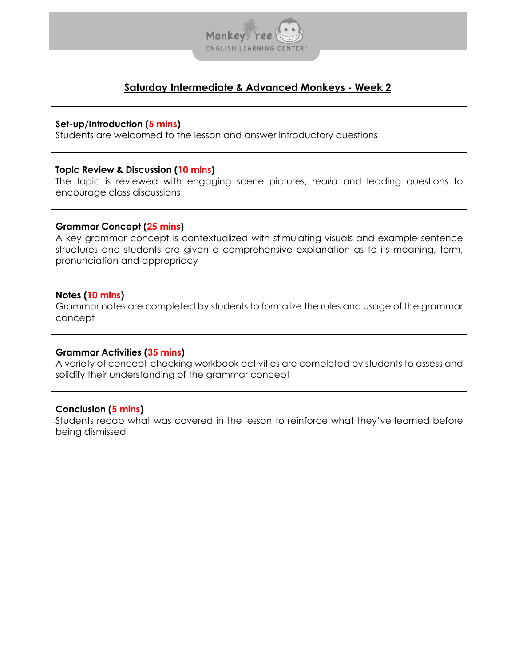

# **Set-up/Introduction (5 mins)**

Students are welcomed to the lesson and answer introductory questions

### **Topic Review & Discussion (10 mins)**

The topic is reviewed with engaging scene pictures, *realia* and leading questions to encourage class discussions

### **Grammar Concept (25 mins)**

A key grammar concept is contextualized with stimulating visuals and example sentence structures and students are given a comprehensive explanation as to its meaning, form, pronunciation and appropriacy

# **Notes (10 mins)**

Grammar notes are completed by students to formalize the rules and usage of the grammar concept

### **Grammar Activities (35 mins)**

A variety of concept-checking workbook activities are completed by students to assess and solidify their understanding of the grammar concept

# **Conclusion (5 mins)**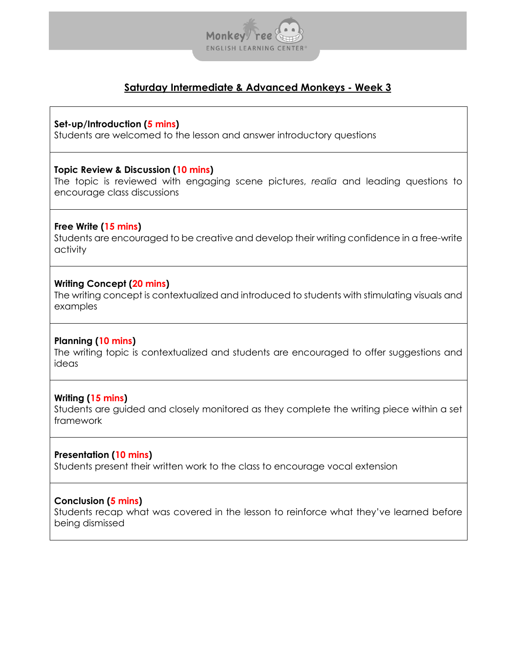

### **Set-up/Introduction (5 mins)**

Students are welcomed to the lesson and answer introductory questions

# **Topic Review & Discussion (10 mins)**

The topic is reviewed with engaging scene pictures, *realia* and leading questions to encourage class discussions

# **Free Write (15 mins)**

Students are encouraged to be creative and develop their writing confidence in a free-write activity

# **Writing Concept (20 mins)**

The writing concept is contextualized and introduced to students with stimulating visuals and examples

# **Planning (10 mins)**

The writing topic is contextualized and students are encouraged to offer suggestions and ideas

# **Writing (15 mins)**

Students are guided and closely monitored as they complete the writing piece within a set framework

### **Presentation (10 mins)**

Students present their written work to the class to encourage vocal extension

# **Conclusion (5 mins)**